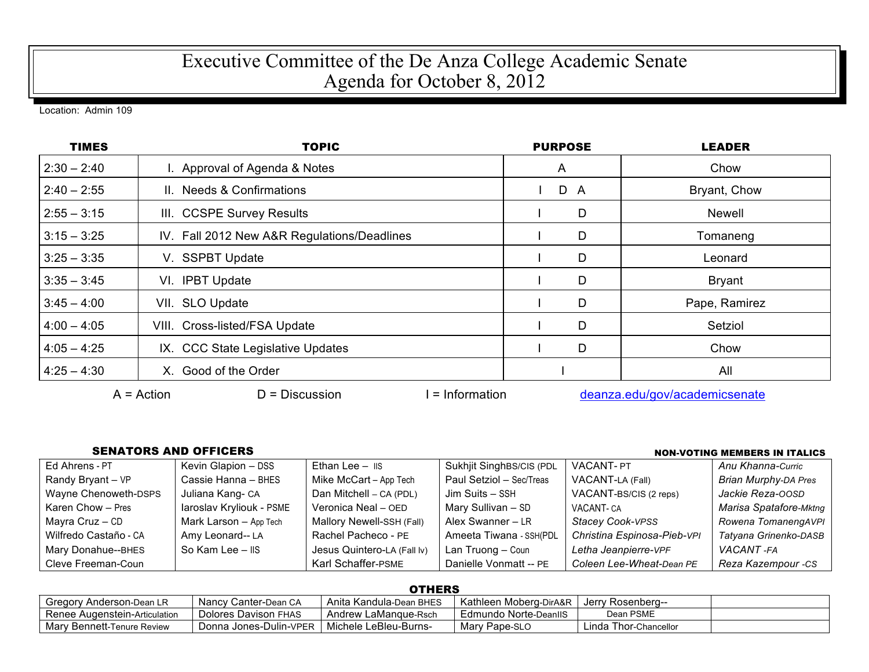## Executive Committee of the De Anza College Academic Senate Agenda for October 8, 2012

Location: Admin 109

| <b>TIMES</b>  | TOPIC                                             | <b>PURPOSE</b> | <b>LEADER</b>                 |  |
|---------------|---------------------------------------------------|----------------|-------------------------------|--|
| $2:30 - 2:40$ | I. Approval of Agenda & Notes                     | A              | Chow                          |  |
| $2:40 - 2:55$ | II. Needs & Confirmations                         | D A            | Bryant, Chow                  |  |
| $2:55 - 3:15$ | III. CCSPE Survey Results                         | D              | <b>Newell</b>                 |  |
| $3:15 - 3:25$ | IV. Fall 2012 New A&R Regulations/Deadlines       | D              | Tomaneng                      |  |
| $3:25 - 3:35$ | V. SSPBT Update                                   | D              | Leonard                       |  |
| $3:35 - 3:45$ | VI. IPBT Update                                   | D              | <b>Bryant</b>                 |  |
| $3:45 - 4:00$ | VII. SLO Update                                   | D              | Pape, Ramirez                 |  |
| $4:00 - 4:05$ | VIII. Cross-listed/FSA Update                     | D              | Setziol                       |  |
| $4:05 - 4:25$ | IX. CCC State Legislative Updates                 | D              | Chow                          |  |
| $4:25 - 4:30$ | X. Good of the Order                              |                | All                           |  |
|               | $A = Action$<br>$D = Discussion$<br>= Information |                | deanza.edu/gov/academicsenate |  |

## SENATORS AND OFFICERS **Non-Voting Members** in Italics

| Ed Ahrens - PT        | Kevin Glapion - DSS      | Ethan Lee $ \overline{1}$ IS | Sukhjit SinghBS/CIS (PDL | <b>VACANT-PT</b>            | Anu Khanna-Curric           |
|-----------------------|--------------------------|------------------------------|--------------------------|-----------------------------|-----------------------------|
| Randy Bryant - VP     | Cassie Hanna - BHES      | Mike McCart - App Tech       | Paul Setziol - Sec/Treas | VACANT-LA (Fall)            | <b>Brian Murphy-DA Pres</b> |
| Wayne Chenoweth-DSPS  | Juliana Kang-CA          | Dan Mitchell - CA (PDL)      | Jim Suits - SSH          | VACANT-BS/CIS (2 reps)      | Jackie Reza-OOSD            |
| Karen Chow - Pres     | laroslav Kryliouk - PSME | Veronica Neal - OED          | Mary Sullivan - SD       | VACANT- CA                  | Marisa Spatafore-Mktng      |
| Mayra Cruz - CD       | Mark Larson - App Tech   | Mallory Newell-SSH (Fall)    | Alex Swanner - LR        | Stacey Cook-VPSS            | Rowena TomanengAVPI         |
| Wilfredo Castaño - CA | Amy Leonard-- LA         | Rachel Pacheco - PE          | Ameeta Tiwana - SSH(PDL  | Christina Espinosa-Pieb-VPI | Tatyana Grinenko-DASB       |
| Mary Donahue--BHES    | So Kam Lee - IIS         | Jesus Quintero-LA (Fall Iv)  | Lan Truong - Coun        | Letha Jeanpierre-VPF        | VACANT -FA                  |
| Cleve Freeman-Coun    |                          | Karl Schaffer-PSME           | Danielle Vonmatt -- PE   | Coleen Lee-Wheat-Dean PE    | Reza Kazempour -CS          |

## **OTHERS**

| _ _ _ _ _ _ _ _                 |                        |                         |                        |                       |  |
|---------------------------------|------------------------|-------------------------|------------------------|-----------------------|--|
| Gregory Anderson-Dean LR        | Nancy Canter-Dean CA   | Anita Kandula-Dean BHES | Kathleen Moberg-DirA&R | -Jerry Rosenberg      |  |
| l Renee Augenstein-Articulation | Dolores Davison FHAS   | Andrew LaMangue-Rsch    | Edmundo Norte-DeanllS  | Dean PSME             |  |
| Mary Bennett-Tenure Review      | Donna Jones-Dulin-VPER | Michele LeBleu-Burns-   | Mary Pape-SLO          | Linda Thor-Chancellor |  |